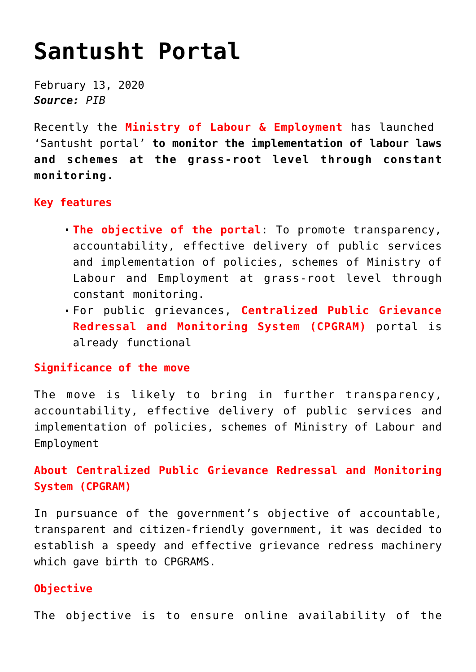# **[Santusht Portal](https://journalsofindia.com/santusht-portal/)**

February 13, 2020 *Source: PIB*

Recently the **Ministry of Labour & Employment** has launched 'Santusht portal' **to monitor the implementation of labour laws and schemes at the grass-root level through constant monitoring.**

## **Key features**

- **The objective of the portal**: To promote transparency, accountability, effective delivery of public services and implementation of policies, schemes of Ministry of Labour and Employment at grass-root level through constant monitoring.
- For public grievances, **Centralized Public Grievance Redressal and Monitoring System (CPGRAM)** portal is already functional

## **Significance of the move**

The move is likely to bring in further transparency, accountability, effective delivery of public services and implementation of policies, schemes of Ministry of Labour and Employment

## **About Centralized Public Grievance Redressal and Monitoring System (CPGRAM)**

In pursuance of the government's objective of accountable, transparent and citizen-friendly government, it was decided to establish a speedy and effective grievance redress machinery which gave birth to CPGRAMS.

## **Objective**

The objective is to ensure online availability of the